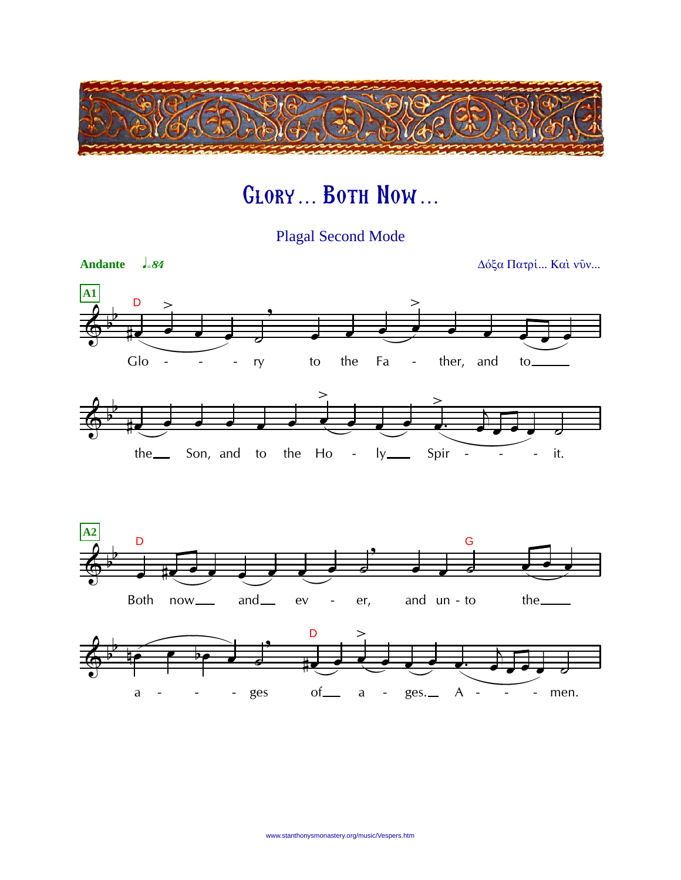

## GLORY... BOTH NOW...

**Plagal Second Mode** 

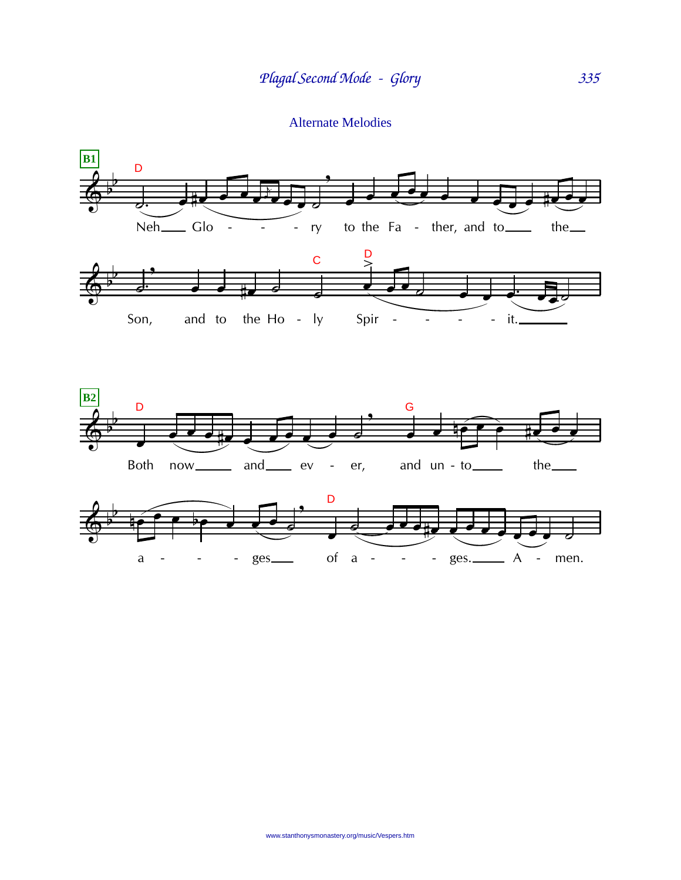**Alternate Melodies**